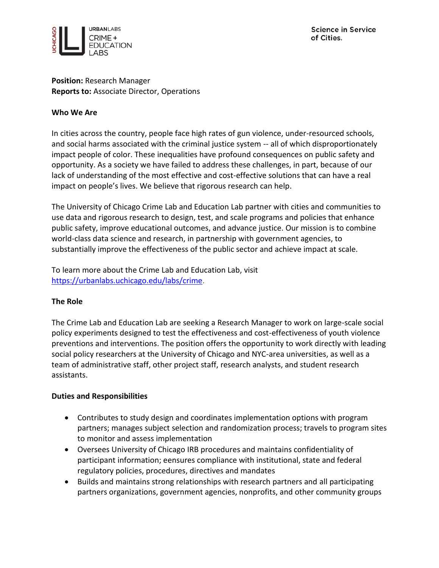

#### **Position:** Research Manager **Reports to:** Associate Director, Operations

#### **Who We Are**

In cities across the country, people face high rates of gun violence, under-resourced schools, and social harms associated with the criminal justice system -- all of which disproportionately impact people of color. These inequalities have profound consequences on public safety and opportunity. As a society we have failed to address these challenges, in part, because of our lack of understanding of the most effective and cost-effective solutions that can have a real impact on people's lives. We believe that rigorous research can help.

The University of Chicago Crime Lab and Education Lab partner with cities and communities to use data and rigorous research to design, test, and scale programs and policies that enhance public safety, improve educational outcomes, and advance justice. Our mission is to combine world-class data science and research, in partnership with government agencies, to substantially improve the effectiveness of the public sector and achieve impact at scale.

To learn more about the Crime Lab and Education Lab, visit [https://urbanlabs.uchicago.edu/labs/crime.](https://urbanlabs.uchicago.edu/labs/crime)

## **The Role**

The Crime Lab and Education Lab are seeking a Research Manager to work on large-scale social policy experiments designed to test the effectiveness and cost-effectiveness of youth violence preventions and interventions. The position offers the opportunity to work directly with leading social policy researchers at the University of Chicago and NYC-area universities, as well as a team of administrative staff, other project staff, research analysts, and student research assistants.

#### **Duties and Responsibilities**

- Contributes to study design and coordinates implementation options with program partners; manages subject selection and randomization process; travels to program sites to monitor and assess implementation
- Oversees University of Chicago IRB procedures and maintains confidentiality of participant information; eensures compliance with institutional, state and federal regulatory policies, procedures, directives and mandates
- Builds and maintains strong relationships with research partners and all participating partners organizations, government agencies, nonprofits, and other community groups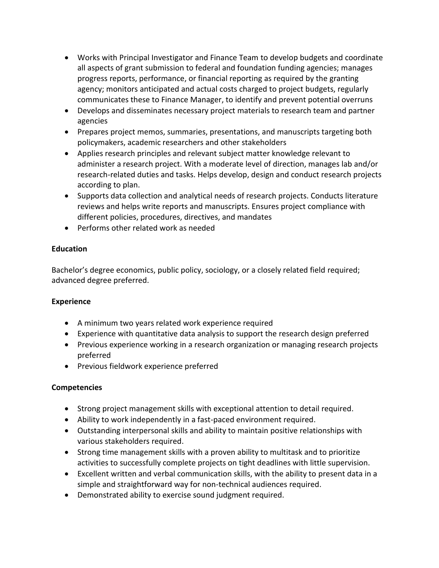- Works with Principal Investigator and Finance Team to develop budgets and coordinate all aspects of grant submission to federal and foundation funding agencies; manages progress reports, performance, or financial reporting as required by the granting agency; monitors anticipated and actual costs charged to project budgets, regularly communicates these to Finance Manager, to identify and prevent potential overruns
- Develops and disseminates necessary project materials to research team and partner agencies
- Prepares project memos, summaries, presentations, and manuscripts targeting both policymakers, academic researchers and other stakeholders
- Applies research principles and relevant subject matter knowledge relevant to administer a research project. With a moderate level of direction, manages lab and/or research-related duties and tasks. Helps develop, design and conduct research projects according to plan.
- Supports data collection and analytical needs of research projects. Conducts literature reviews and helps write reports and manuscripts. Ensures project compliance with different policies, procedures, directives, and mandates
- Performs other related work as needed

## **Education**

Bachelor's degree economics, public policy, sociology, or a closely related field required; advanced degree preferred.

## **Experience**

- A minimum two years related work experience required
- Experience with quantitative data analysis to support the research design preferred
- Previous experience working in a research organization or managing research projects preferred
- Previous fieldwork experience preferred

## **Competencies**

- Strong project management skills with exceptional attention to detail required.
- Ability to work independently in a fast-paced environment required.
- Outstanding interpersonal skills and ability to maintain positive relationships with various stakeholders required.
- Strong time management skills with a proven ability to multitask and to prioritize activities to successfully complete projects on tight deadlines with little supervision.
- Excellent written and verbal communication skills, with the ability to present data in a simple and straightforward way for non-technical audiences required.
- Demonstrated ability to exercise sound judgment required.